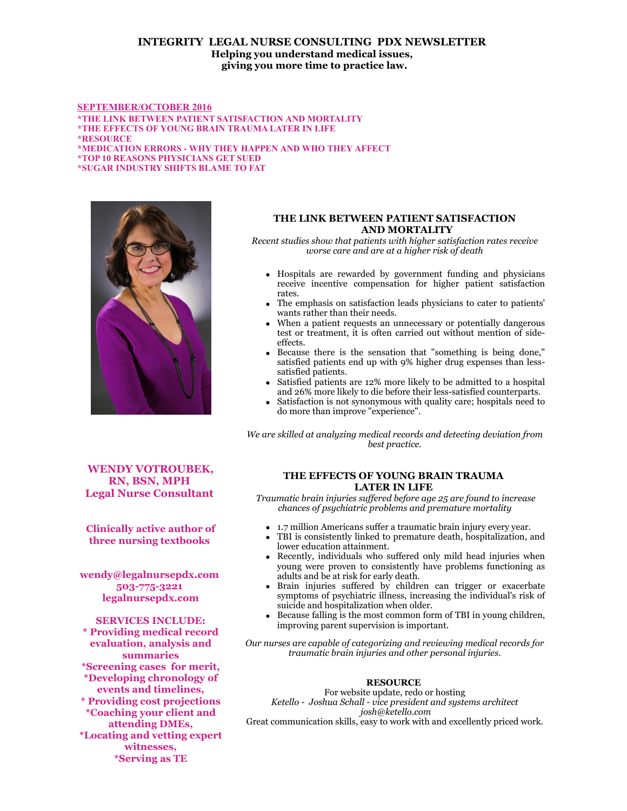# **INTEGRITY LEGAL NURSE CONSULTING PDX NEWSLETTER Helping you understand medical issues, giving you more time to practice law.**

### **SEPTEMBER/OCTOBER 2016**

**\*THE LINK BETWEEN PATIENT SATISFACTION AND MORTALITY \*THE EFFECTS OF YOUNG BRAIN TRAUMA LATER IN LIFE**

**\*RESOURCE \*MEDICATION ERRORS - WHY THEY HAPPEN AND WHO THEY AFFECT \*TOP 10 REASONS PHYSICIANS GET SUED \*SUGAR INDUSTRY SHIFTS BLAME TO FAT**



#### *Recent studies show that patients with higher satisfaction rates receive worse care and are at a higher risk of death*

**THE LINK BETWEEN PATIENT SATISFACTION AND MORTALITY**

- Hospitals are rewarded by government funding and physicians receive incentive compensation for higher patient satisfaction rates.
- The emphasis on satisfaction leads physicians to cater to patients' wants rather than their needs.
- When a patient requests an unnecessary or potentially dangerous test or treatment, it is often carried out without mention of sideeffects.
- Because there is the sensation that "something is being done," satisfied patients end up with 9% higher drug expenses than lesssatisfied patients.
- Satisfied patients are 12% more likely to be admitted to a hospital and 26% more likely to die before their less-satisfied counterparts.
- Satisfaction is not synonymous with quality care; hospitals need to do more than improve "experience".

*We are skilled at analyzing medical records and detecting deviation from best practice.*

**WENDY VOTROUBEK, RN, BSN, MPH Legal Nurse Consultant** 

**Clinically active author of three nursing textbooks** 

**wendy@legalnursepdx.com 503-775-3221 legalnursepdx.com**

**SERVICES INCLUDE: \* Providing medical record evaluation, analysis and summaries \*Screening cases for merit, \*Developing chronology of events and timelines, \* Providing cost projections \*Coaching your client and attending DMEs, \*Locating and vetting expert witnesses, \*Serving as TE**

### **THE EFFECTS OF YOUNG BRAIN TRAUMA LATER IN LIFE**

 *Traumatic brain injuries suffered before age 25 are found to increase chances of psychiatric problems and premature mortality*

- 1.7 million Americans suffer a traumatic brain injury every year.
- TBI is consistently linked to premature death, hospitalization, and lower education attainment.
- Recently, individuals who suffered only mild head injuries when young were proven to consistently have problems functioning as adults and be at risk for early death.
- Brain injuries suffered by children can trigger or exacerbate symptoms of psychiatric illness, increasing the individual's risk of suicide and hospitalization when older.
- Because falling is the most common form of TBI in young children, improving parent supervision is important.

*Our nurses are capable of categorizing and reviewing medical records for traumatic brain injuries and other personal injuries.*

## **RESOURCE**

For website update, redo or hosting *Ketello - Joshua Schall - vice president and systems architect josh@ketello.com*

Great communication skills, easy to work with and excellently priced work.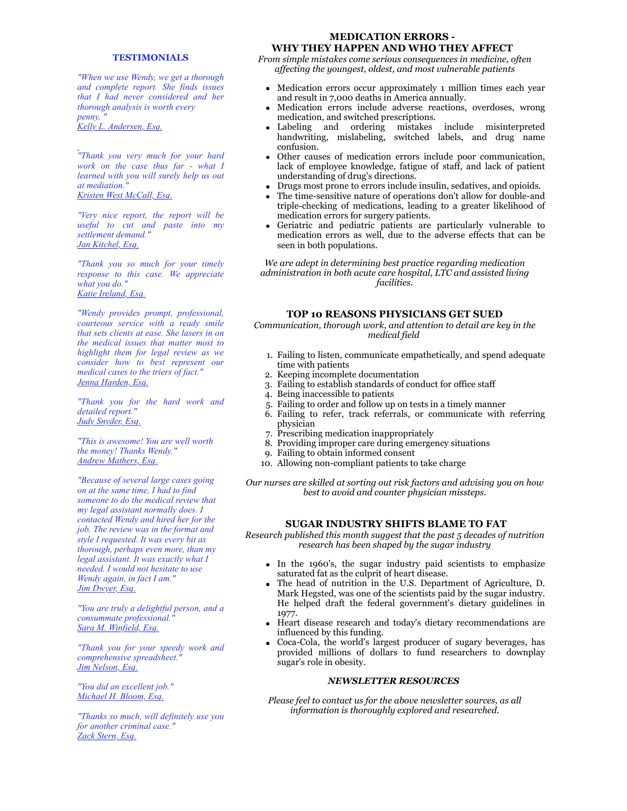#### **TESTIMONIALS**

*"When we use Wendy, we get a thorough and complete report. She finds issues that I had never considered and her thorough analysis is worth every penny. " Kelly L. Andersen, Esq.*

*"Thank you very much for your hard work on the case thus far - what I learned with you will surely help us out at mediation." Kristen West McCall, Esq.*

*"Very nice report, the report will be useful to cut and paste into my settlement demand." Jan Kitchel, Esq.*

*"Thank you so much for your timely response to this case. We appreciate what you do." Katie Ireland, Esq.*

*"Wendy provides prompt, professional, courteous service with a ready smile that sets clients at ease. She lasers in on the medical issues that matter most to highlight them for legal review as we consider how to best represent our medical cases to the triers of fact." Jenna Harden, Esq.*

*"Thank you for the hard work and detailed report." Judy Snyder, Esq.*

*"This is awesome! You are well worth the money! Thanks Wendy." Andrew Mathers, Esq.*

*"Because of several large cases going on at the same time, I had to find someone to do the medical review that my legal assistant normally does. I contacted Wendy and hired her for the job. The review was in the format and style I requested. It was every bit as thorough, perhaps even more, than my legal assistant. It was exactly what I needed. I would not hesitate to use Wendy again, in fact I am." Jim Dwyer, Esq.*

*"You are truly a delightful person, and a consummate professional." Sara M. Winfield, Esq.*

*"Thank you for your speedy work and comprehensive spreadsheet." Jim Nelson, Esq.*

*"You did an excellent job." Michael H. Bloom, Esq.*

*"Thanks so much, will definitely use you for another criminal case." Zack Stern, Esq.*

## **MEDICATION ERRORS - WHY THEY HAPPEN AND WHO THEY AFFECT**

*From simple mistakes come serious consequences in medicine, often affecting the youngest, oldest, and most vulnerable patients*

- Medication errors occur approximately 1 million times each year and result in 7,000 deaths in America annually.
- Medication errors include adverse reactions, overdoses, wrong medication, and switched prescriptions.
- Labeling and ordering mistakes include misinterpreted handwriting, mislabeling, switched labels, and drug name confusion.
- Other causes of medication errors include poor communication, lack of employee knowledge, fatigue of staff, and lack of patient understanding of drug's directions.
- Drugs most prone to errors include insulin, sedatives, and opioids.
- The time-sensitive nature of operations don't allow for double-and triple-checking of medications, leading to a greater likelihood of medication errors for surgery patients.
- Geriatric and pediatric patients are particularly vulnerable to medication errors as well, due to the adverse effects that can be seen in both populations.

*We are adept in determining best practice regarding medication administration in both acute care hospital, LTC and assisted living facilities.*

#### **TOP 10 REASONS PHYSICIANS GET SUED**

*Communication, thorough work, and attention to detail are key in the medical field* 

- 1. Failing to listen, communicate empathetically, and spend adequate time with patients
- 2. Keeping incomplete documentation
- 3. Failing to establish standards of conduct for office staff
- 4. Being inaccessible to patients
- 5. Failing to order and follow up on tests in a timely manner
- 6. Failing to refer, track referrals, or communicate with referring physician
- 7. Prescribing medication inappropriately
- 8. Providing improper care during emergency situations
- 9. Failing to obtain informed consent
- 10. Allowing non-compliant patients to take charge

*Our nurses are skilled at sorting out risk factors and advising you on how best to avoid and counter physician missteps.*

## **SUGAR INDUSTRY SHIFTS BLAME TO FAT**

*Research published this month suggest that the past 5 decades of nutrition research has been shaped by the sugar industry*

- In the 1960's, the sugar industry paid scientists to emphasize saturated fat as the culprit of heart disease.
- The head of nutrition in the U.S. Department of Agriculture, D. Mark Hegsted, was one of the scientists paid by the sugar industry. He helped draft the federal government's dietary guidelines in 1977.
- Heart disease research and today's dietary recommendations are influenced by this funding.
- Coca-Cola, the world's largest producer of sugary beverages, has provided millions of dollars to fund researchers to downplay sugar's role in obesity.

#### *NEWSLETTER RESOURCES*

*Please feel to contact us for the above newsletter sources, as all information is thoroughly explored and researched.*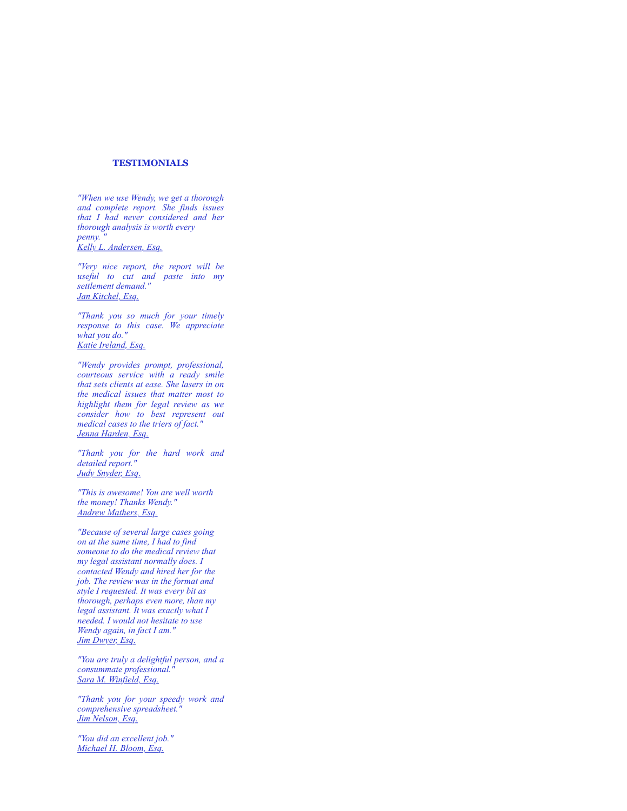### **TESTIMONIALS**

*"When we use Wendy, we get a thorough and complete report. She finds issues that I had never considered and her thorough analysis is worth every penny. " Kelly L. Andersen, Esq.*

*"Very nice report, the report will be useful to cut and paste into my settlement demand." Jan Kitchel, Esq.*

*"Thank you so much for your timely response to this case. We appreciate what you do." Katie Ireland, Esq.*

*"Wendy provides prompt, professional, courteous service with a ready smile that sets clients at ease. She lasers in on the medical issues that matter most to highlight them for legal review as we consider how to best represent out medical cases to the triers of fact." Jenna Harden, Esq.*

*"Thank you for the hard work and detailed report." Judy Snyder, Esq.*

*"This is awesome! You are well worth the money! Thanks Wendy." Andrew Mathers, Esq.*

*"Because of several large cases going on at the same time, I had to find someone to do the medical review that my legal assistant normally does. I contacted Wendy and hired her for the job. The review was in the format and style I requested. It was every bit as thorough, perhaps even more, than my legal assistant. It was exactly what I needed. I would not hesitate to use Wendy again, in fact I am." Jim Dwyer, Esq.*

*"You are truly a delightful person, and a consummate professional." Sara M. Winfield, Esq.*

*"Thank you for your speedy work and comprehensive spreadsheet." Jim Nelson, Esq.*

*"You did an excellent job." Michael H. Bloom, Esq.*